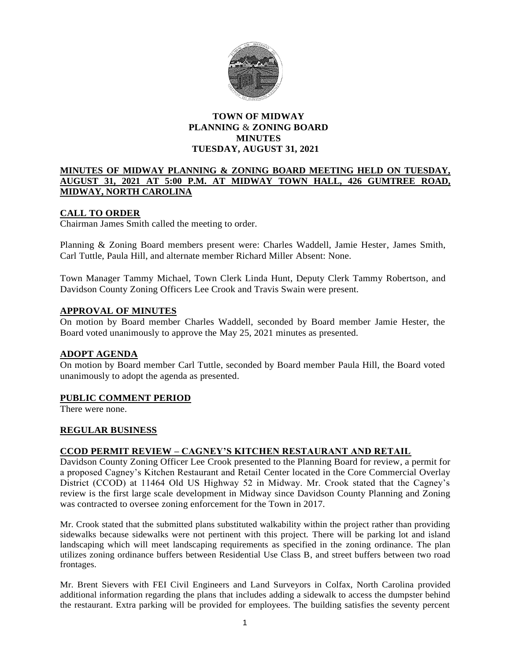

## **TOWN OF MIDWAY PLANNING** & **ZONING BOARD MINUTES TUESDAY, AUGUST 31, 2021**

#### **MINUTES OF MIDWAY PLANNING & ZONING BOARD MEETING HELD ON TUESDAY, AUGUST 31, 2021 AT 5:00 P.M. AT MIDWAY TOWN HALL, 426 GUMTREE ROAD, MIDWAY, NORTH CAROLINA**

## **CALL TO ORDER**

Chairman James Smith called the meeting to order.

Planning & Zoning Board members present were: Charles Waddell, Jamie Hester, James Smith, Carl Tuttle, Paula Hill, and alternate member Richard Miller Absent: None.

Town Manager Tammy Michael, Town Clerk Linda Hunt, Deputy Clerk Tammy Robertson, and Davidson County Zoning Officers Lee Crook and Travis Swain were present.

### **APPROVAL OF MINUTES**

On motion by Board member Charles Waddell, seconded by Board member Jamie Hester, the Board voted unanimously to approve the May 25, 2021 minutes as presented.

#### **ADOPT AGENDA**

On motion by Board member Carl Tuttle, seconded by Board member Paula Hill, the Board voted unanimously to adopt the agenda as presented.

#### **PUBLIC COMMENT PERIOD**

There were none.

#### **REGULAR BUSINESS**

#### **CCOD PERMIT REVIEW – CAGNEY'S KITCHEN RESTAURANT AND RETAIL**

Davidson County Zoning Officer Lee Crook presented to the Planning Board for review, a permit for a proposed Cagney's Kitchen Restaurant and Retail Center located in the Core Commercial Overlay District (CCOD) at 11464 Old US Highway 52 in Midway. Mr. Crook stated that the Cagney's review is the first large scale development in Midway since Davidson County Planning and Zoning was contracted to oversee zoning enforcement for the Town in 2017.

Mr. Crook stated that the submitted plans substituted walkability within the project rather than providing sidewalks because sidewalks were not pertinent with this project. There will be parking lot and island landscaping which will meet landscaping requirements as specified in the zoning ordinance. The plan utilizes zoning ordinance buffers between Residential Use Class B, and street buffers between two road frontages.

Mr. Brent Sievers with FEI Civil Engineers and Land Surveyors in Colfax, North Carolina provided additional information regarding the plans that includes adding a sidewalk to access the dumpster behind the restaurant. Extra parking will be provided for employees. The building satisfies the seventy percent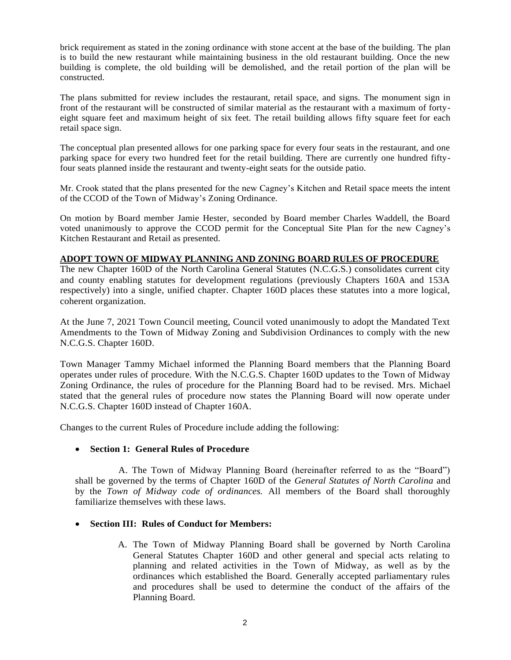brick requirement as stated in the zoning ordinance with stone accent at the base of the building. The plan is to build the new restaurant while maintaining business in the old restaurant building. Once the new building is complete, the old building will be demolished, and the retail portion of the plan will be constructed.

The plans submitted for review includes the restaurant, retail space, and signs. The monument sign in front of the restaurant will be constructed of similar material as the restaurant with a maximum of fortyeight square feet and maximum height of six feet. The retail building allows fifty square feet for each retail space sign.

The conceptual plan presented allows for one parking space for every four seats in the restaurant, and one parking space for every two hundred feet for the retail building. There are currently one hundred fiftyfour seats planned inside the restaurant and twenty-eight seats for the outside patio.

Mr. Crook stated that the plans presented for the new Cagney's Kitchen and Retail space meets the intent of the CCOD of the Town of Midway's Zoning Ordinance.

On motion by Board member Jamie Hester, seconded by Board member Charles Waddell, the Board voted unanimously to approve the CCOD permit for the Conceptual Site Plan for the new Cagney's Kitchen Restaurant and Retail as presented.

# **ADOPT TOWN OF MIDWAY PLANNING AND ZONING BOARD RULES OF PROCEDURE**

The new Chapter 160D of the North Carolina General Statutes (N.C.G.S.) consolidates current city and county enabling statutes for development regulations (previously Chapters 160A and 153A respectively) into a single, unified chapter. Chapter 160D places these statutes into a more logical, coherent organization.

At the June 7, 2021 Town Council meeting, Council voted unanimously to adopt the Mandated Text Amendments to the Town of Midway Zoning and Subdivision Ordinances to comply with the new N.C.G.S. Chapter 160D.

Town Manager Tammy Michael informed the Planning Board members that the Planning Board operates under rules of procedure. With the N.C.G.S. Chapter 160D updates to the Town of Midway Zoning Ordinance, the rules of procedure for the Planning Board had to be revised. Mrs. Michael stated that the general rules of procedure now states the Planning Board will now operate under N.C.G.S. Chapter 160D instead of Chapter 160A.

Changes to the current Rules of Procedure include adding the following:

#### • **Section 1: General Rules of Procedure**

 A. The Town of Midway Planning Board (hereinafter referred to as the "Board") shall be governed by the terms of Chapter 160D of the *General Statutes of North Carolina* and by the *Town of Midway code of ordinances.* All members of the Board shall thoroughly familiarize themselves with these laws.

#### • **Section III: Rules of Conduct for Members:**

A. The Town of Midway Planning Board shall be governed by North Carolina General Statutes Chapter 160D and other general and special acts relating to planning and related activities in the Town of Midway, as well as by the ordinances which established the Board. Generally accepted parliamentary rules and procedures shall be used to determine the conduct of the affairs of the Planning Board.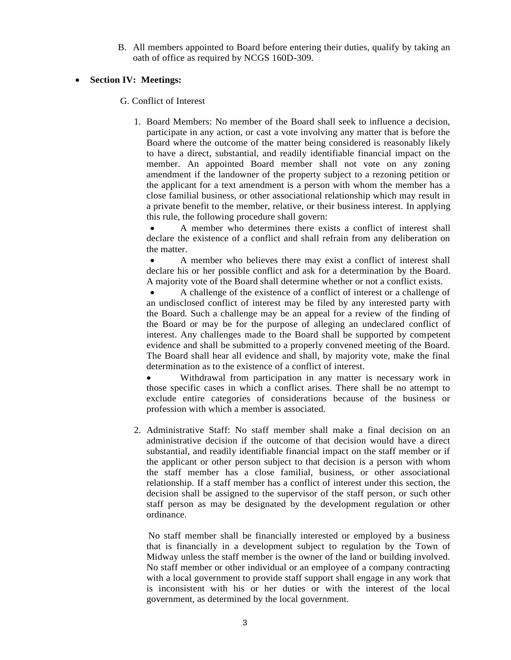B. All members appointed to Board before entering their duties, qualify by taking an oath of office as required by NCGS 160D-309.

### • **Section IV: Meetings:**

G. Conflict of Interest

1. Board Members: No member of the Board shall seek to influence a decision, participate in any action, or cast a vote involving any matter that is before the Board where the outcome of the matter being considered is reasonably likely to have a direct, substantial, and readily identifiable financial impact on the member. An appointed Board member shall not vote on any zoning amendment if the landowner of the property subject to a rezoning petition or the applicant for a text amendment is a person with whom the member has a close familial business, or other associational relationship which may result in a private benefit to the member, relative, or their business interest. In applying this rule, the following procedure shall govern:

• A member who determines there exists a conflict of interest shall declare the existence of a conflict and shall refrain from any deliberation on the matter.

• A member who believes there may exist a conflict of interest shall declare his or her possible conflict and ask for a determination by the Board. A majority vote of the Board shall determine whether or not a conflict exists.

• A challenge of the existence of a conflict of interest or a challenge of an undisclosed conflict of interest may be filed by any interested party with the Board. Such a challenge may be an appeal for a review of the finding of the Board or may be for the purpose of alleging an undeclared conflict of interest. Any challenges made to the Board shall be supported by competent evidence and shall be submitted to a properly convened meeting of the Board. The Board shall hear all evidence and shall, by majority vote, make the final determination as to the existence of a conflict of interest.

Withdrawal from participation in any matter is necessary work in those specific cases in which a conflict arises. There shall be no attempt to exclude entire categories of considerations because of the business or profession with which a member is associated.

2. Administrative Staff: No staff member shall make a final decision on an administrative decision if the outcome of that decision would have a direct substantial, and readily identifiable financial impact on the staff member or if the applicant or other person subject to that decision is a person with whom the staff member has a close familial, business, or other associational relationship. If a staff member has a conflict of interest under this section, the decision shall be assigned to the supervisor of the staff person, or such other staff person as may be designated by the development regulation or other ordinance.

 No staff member shall be financially interested or employed by a business that is financially in a development subject to regulation by the Town of Midway unless the staff member is the owner of the land or building involved. No staff member or other individual or an employee of a company contracting with a local government to provide staff support shall engage in any work that is inconsistent with his or her duties or with the interest of the local government, as determined by the local government.